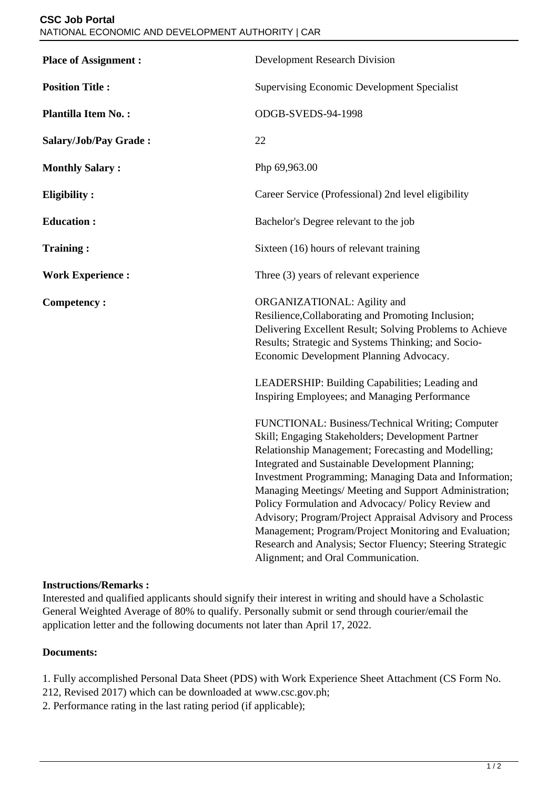| <b>Place of Assignment:</b> | <b>Development Research Division</b>                                                                                                                                                                                                                                                                                                                                                                                                                                                                                                                                                                                |
|-----------------------------|---------------------------------------------------------------------------------------------------------------------------------------------------------------------------------------------------------------------------------------------------------------------------------------------------------------------------------------------------------------------------------------------------------------------------------------------------------------------------------------------------------------------------------------------------------------------------------------------------------------------|
| <b>Position Title:</b>      | <b>Supervising Economic Development Specialist</b>                                                                                                                                                                                                                                                                                                                                                                                                                                                                                                                                                                  |
| <b>Plantilla Item No.:</b>  | ODGB-SVEDS-94-1998                                                                                                                                                                                                                                                                                                                                                                                                                                                                                                                                                                                                  |
| Salary/Job/Pay Grade:       | 22                                                                                                                                                                                                                                                                                                                                                                                                                                                                                                                                                                                                                  |
| <b>Monthly Salary:</b>      | Php 69,963.00                                                                                                                                                                                                                                                                                                                                                                                                                                                                                                                                                                                                       |
| <b>Eligibility:</b>         | Career Service (Professional) 2nd level eligibility                                                                                                                                                                                                                                                                                                                                                                                                                                                                                                                                                                 |
| <b>Education:</b>           | Bachelor's Degree relevant to the job                                                                                                                                                                                                                                                                                                                                                                                                                                                                                                                                                                               |
| <b>Training:</b>            | Sixteen (16) hours of relevant training                                                                                                                                                                                                                                                                                                                                                                                                                                                                                                                                                                             |
| <b>Work Experience:</b>     | Three (3) years of relevant experience                                                                                                                                                                                                                                                                                                                                                                                                                                                                                                                                                                              |
| <b>Competency:</b>          | ORGANIZATIONAL: Agility and<br>Resilience, Collaborating and Promoting Inclusion;<br>Delivering Excellent Result; Solving Problems to Achieve<br>Results; Strategic and Systems Thinking; and Socio-<br>Economic Development Planning Advocacy.                                                                                                                                                                                                                                                                                                                                                                     |
|                             | LEADERSHIP: Building Capabilities; Leading and<br>Inspiring Employees; and Managing Performance                                                                                                                                                                                                                                                                                                                                                                                                                                                                                                                     |
|                             | FUNCTIONAL: Business/Technical Writing; Computer<br>Skill; Engaging Stakeholders; Development Partner<br>Relationship Management; Forecasting and Modelling;<br>Integrated and Sustainable Development Planning;<br>Investment Programming; Managing Data and Information;<br>Managing Meetings/ Meeting and Support Administration;<br>Policy Formulation and Advocacy/ Policy Review and<br>Advisory; Program/Project Appraisal Advisory and Process<br>Management; Program/Project Monitoring and Evaluation;<br>Research and Analysis; Sector Fluency; Steering Strategic<br>Alignment; and Oral Communication. |

## **Instructions/Remarks :**

Interested and qualified applicants should signify their interest in writing and should have a Scholastic General Weighted Average of 80% to qualify. Personally submit or send through courier/email the application letter and the following documents not later than April 17, 2022.

## **Documents:**

1. Fully accomplished Personal Data Sheet (PDS) with Work Experience Sheet Attachment (CS Form No.

- 212, Revised 2017) which can be downloaded at www.csc.gov.ph;
- 2. Performance rating in the last rating period (if applicable);